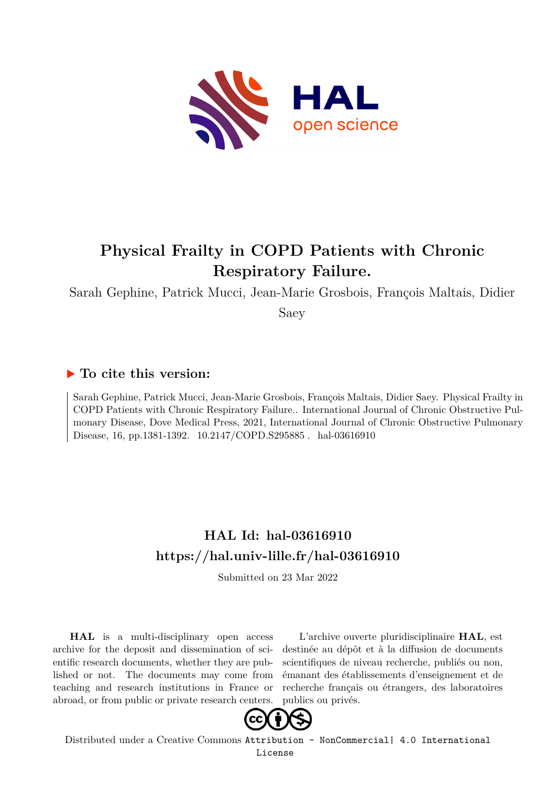

# **Physical Frailty in COPD Patients with Chronic Respiratory Failure.**

Sarah Gephine, Patrick Mucci, Jean-Marie Grosbois, François Maltais, Didier

Saey

## **To cite this version:**

Sarah Gephine, Patrick Mucci, Jean-Marie Grosbois, François Maltais, Didier Saey. Physical Frailty in COPD Patients with Chronic Respiratory Failure.. International Journal of Chronic Obstructive Pulmonary Disease, Dove Medical Press, 2021, International Journal of Chronic Obstructive Pulmonary Disease, 16, pp.1381-1392. 10.2147/COPD.S295885. hal-03616910

# **HAL Id: hal-03616910 <https://hal.univ-lille.fr/hal-03616910>**

Submitted on 23 Mar 2022

**HAL** is a multi-disciplinary open access archive for the deposit and dissemination of scientific research documents, whether they are published or not. The documents may come from teaching and research institutions in France or abroad, or from public or private research centers.

L'archive ouverte pluridisciplinaire **HAL**, est destinée au dépôt et à la diffusion de documents scientifiques de niveau recherche, publiés ou non, émanant des établissements d'enseignement et de recherche français ou étrangers, des laboratoires publics ou privés.



Distributed under a Creative Commons [Attribution - NonCommercial| 4.0 International](http://creativecommons.org/licenses/by-nc/4.0/) [License](http://creativecommons.org/licenses/by-nc/4.0/)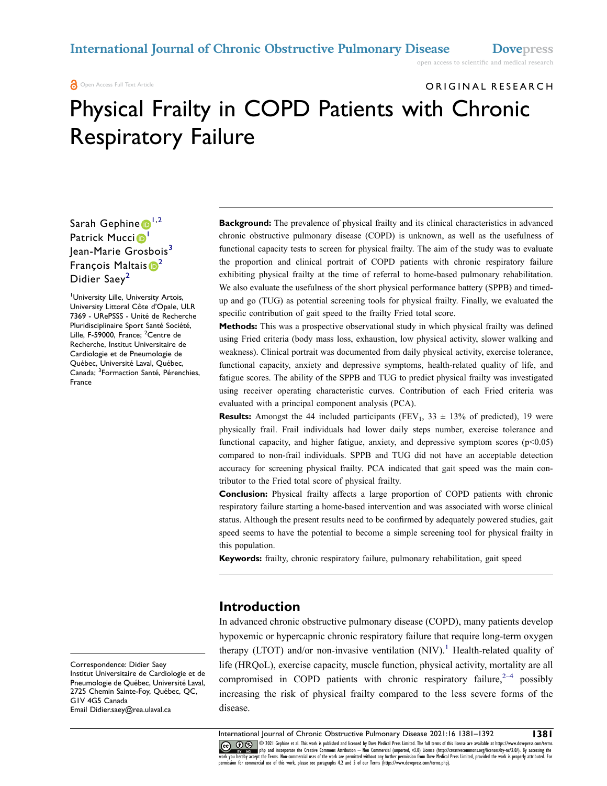#### **a** Open Access Full Text Article

# ORIGINAL RESEARCH Physical Frailty in COPD Patients with Chronic Respiratory Failure

## Sarah Gephine  $\mathbf{D}^{1,2}$  $\mathbf{D}^{1,2}$  $\mathbf{D}^{1,2}$ Patrick Mucci<sup>D</sup> Jean-Marie Grosbois<sup>3</sup> François Maltais  $\mathbf{D}^2$  $\mathbf{D}^2$ Didier Saey<sup>2</sup>

1 University Lille, University Artois, University Littoral Côte d'Opale, ULR 7369 - URePSSS - Unité de Recherche Pluridisciplinaire Sport Santé Société, Lille, F-59000, France; <sup>2</sup>Centre de Recherche, Institut Universitaire de Cardiologie et de Pneumologie de Québec, Université Laval, Québec, Canada; <sup>3</sup>Formaction Santé, Pérenchies, France

**Background:** The prevalence of physical frailty and its clinical characteristics in advanced chronic obstructive pulmonary disease (COPD) is unknown, as well as the usefulness of functional capacity tests to screen for physical frailty. The aim of the study was to evaluate the proportion and clinical portrait of COPD patients with chronic respiratory failure exhibiting physical frailty at the time of referral to home-based pulmonary rehabilitation. We also evaluate the usefulness of the short physical performance battery (SPPB) and timedup and go (TUG) as potential screening tools for physical frailty. Finally, we evaluated the specific contribution of gait speed to the frailty Fried total score.

**Methods:** This was a prospective observational study in which physical frailty was defined using Fried criteria (body mass loss, exhaustion, low physical activity, slower walking and weakness). Clinical portrait was documented from daily physical activity, exercise tolerance, functional capacity, anxiety and depressive symptoms, health-related quality of life, and fatigue scores. The ability of the SPPB and TUG to predict physical frailty was investigated using receiver operating characteristic curves. Contribution of each Fried criteria was evaluated with a principal component analysis (PCA).

**Results:** Amongst the 44 included participants (FEV<sub>1</sub>, 33  $\pm$  13% of predicted), 19 were physically frail. Frail individuals had lower daily steps number, exercise tolerance and functional capacity, and higher fatigue, anxiety, and depressive symptom scores ( $p < 0.05$ ) compared to non-frail individuals. SPPB and TUG did not have an acceptable detection accuracy for screening physical frailty. PCA indicated that gait speed was the main contributor to the Fried total score of physical frailty.

**Conclusion:** Physical frailty affects a large proportion of COPD patients with chronic respiratory failure starting a home-based intervention and was associated with worse clinical status. Although the present results need to be confirmed by adequately powered studies, gait speed seems to have the potential to become a simple screening tool for physical frailty in this population.

**Keywords:** frailty, chronic respiratory failure, pulmonary rehabilitation, gait speed

## **Introduction**

In advanced chronic obstructive pulmonary disease (COPD), many patients develop hypoxemic or hypercapnic chronic respiratory failure that require long-term oxygen therapy (LTOT) and/or non-invasive ventilation  $(NIV)$ .<sup>1</sup> Health-related quality of life (HRQoL), exercise capacity, muscle function, physical activity, mortality are all compromised in COPD patients with chronic respiratory failure,  $2-4$  possibly increasing the risk of physical frailty compared to the less severe forms of the disease.

Correspondence: Didier Saey Institut Universitaire de Cardiologie et de Pneumologie de Québec, Université Laval, 2725 Chemin Sainte-Foy, Québec, QC, G1V 4G5 Canada Email [Didier.saey@rea.ulaval.ca](mailto:Didier.saey@rea.ulaval.ca)

International Journal of Chronic Obstructive Pulmonary Disease 2021:16 1381–1392 **1381**<br> **1381**<br> **1381** © 2021 Gephine et al. This work is published and licensed by Dove Medical Press Limited. The full terms of this license are available at https://www.dovepress.com/terms.<br>php and incorporate the Creative Commons Attribution work you hereby accept the Terms. Non-commercial uses of the work are permitted without any further permission from Dove Medical Press Limited, provided the work is properly attributed. For<br>permission for commercial use of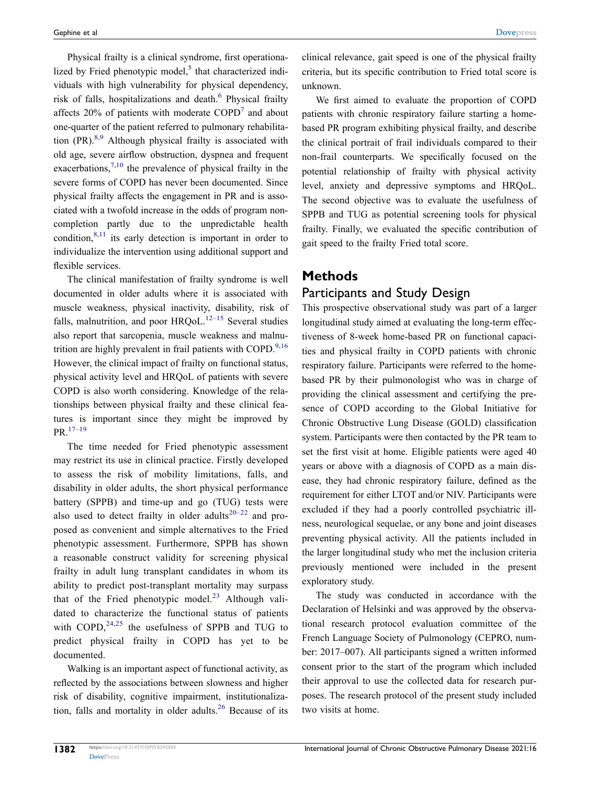Physical frailty is a clinical syndrome, first operationalized by Fried phenotypic model, $<sup>5</sup>$  that characterized indi-</sup> viduals with high vulnerability for physical dependency, risk of falls, hospitalizations and death.<sup>6</sup> Physical frailty affects  $20\%$  of patients with moderate  $\text{COPD}^7$  and about one-quarter of the patient referred to pulmonary rehabilitation  $(PR)$ <sup>8,9</sup> Although physical frailty is associated with old age, severe airflow obstruction, dyspnea and frequent exacerbations,  $7,10$  the prevalence of physical frailty in the severe forms of COPD has never been documented. Since physical frailty affects the engagement in PR and is associated with a twofold increase in the odds of program noncompletion partly due to the unpredictable health condition,  $8,11$  its early detection is important in order to individualize the intervention using additional support and flexible services.

The clinical manifestation of frailty syndrome is well documented in older adults where it is associated with muscle weakness, physical inactivity, disability, risk of falls, malnutrition, and poor  $HRQoL$ .<sup>12–15</sup> Several studies also report that sarcopenia, muscle weakness and malnutrition are highly prevalent in frail patients with COPD.<sup>9,16</sup> However, the clinical impact of frailty on functional status, physical activity level and HRQoL of patients with severe COPD is also worth considering. Knowledge of the relationships between physical frailty and these clinical features is important since they might be improved by PR.17–19

The time needed for Fried phenotypic assessment may restrict its use in clinical practice. Firstly developed to assess the risk of mobility limitations, falls, and disability in older adults, the short physical performance battery (SPPB) and time-up and go (TUG) tests were also used to detect frailty in older adults<sup>20–22</sup> and proposed as convenient and simple alternatives to the Fried phenotypic assessment. Furthermore, SPPB has shown a reasonable construct validity for screening physical frailty in adult lung transplant candidates in whom its ability to predict post-transplant mortality may surpass that of the Fried phenotypic model. $^{23}$  Although validated to characterize the functional status of patients with  $COPD$ ,  $^{24,25}$  the usefulness of SPPB and TUG to predict physical frailty in COPD has yet to be documented.

Walking is an important aspect of functional activity, as reflected by the associations between slowness and higher risk of disability, cognitive impairment, institutionalization, falls and mortality in older adults. $26$  Because of its clinical relevance, gait speed is one of the physical frailty criteria, but its specific contribution to Fried total score is unknown.

We first aimed to evaluate the proportion of COPD patients with chronic respiratory failure starting a homebased PR program exhibiting physical frailty, and describe the clinical portrait of frail individuals compared to their non-frail counterparts. We specifically focused on the potential relationship of frailty with physical activity level, anxiety and depressive symptoms and HRQoL. The second objective was to evaluate the usefulness of SPPB and TUG as potential screening tools for physical frailty. Finally, we evaluated the specific contribution of gait speed to the frailty Fried total score.

## **Methods**

## Participants and Study Design

This prospective observational study was part of a larger longitudinal study aimed at evaluating the long-term effectiveness of 8-week home-based PR on functional capacities and physical frailty in COPD patients with chronic respiratory failure. Participants were referred to the homebased PR by their pulmonologist who was in charge of providing the clinical assessment and certifying the presence of COPD according to the Global Initiative for Chronic Obstructive Lung Disease (GOLD) classification system. Participants were then contacted by the PR team to set the first visit at home. Eligible patients were aged 40 years or above with a diagnosis of COPD as a main disease, they had chronic respiratory failure, defined as the requirement for either LTOT and/or NIV. Participants were excluded if they had a poorly controlled psychiatric illness, neurological sequelae, or any bone and joint diseases preventing physical activity. All the patients included in the larger longitudinal study who met the inclusion criteria previously mentioned were included in the present exploratory study.

The study was conducted in accordance with the Declaration of Helsinki and was approved by the observational research protocol evaluation committee of the French Language Society of Pulmonology (CEPRO, number: 2017–007). All participants signed a written informed consent prior to the start of the program which included their approval to use the collected data for research purposes. The research protocol of the present study included two visits at home.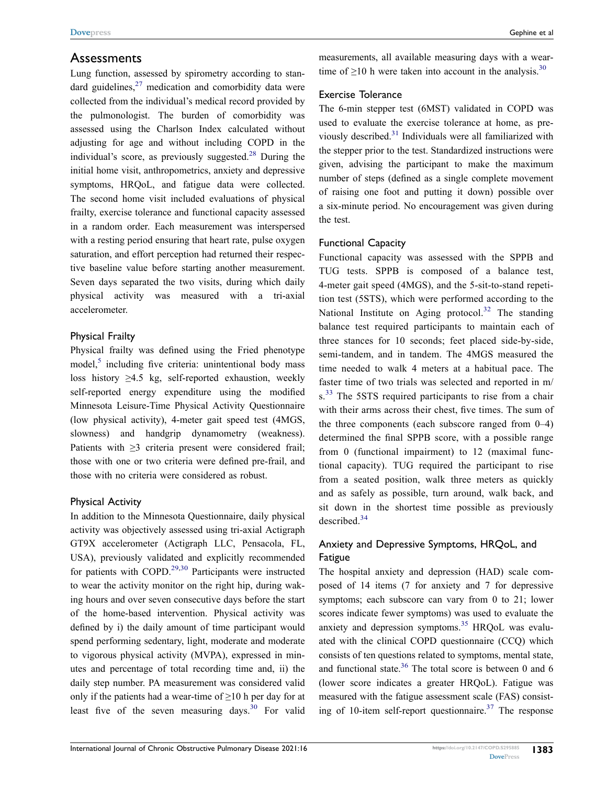## Assessments

Lung function, assessed by spirometry according to standard guidelines, $27$  medication and comorbidity data were collected from the individual's medical record provided by the pulmonologist. The burden of comorbidity was assessed using the Charlson Index calculated without adjusting for age and without including COPD in the individual's score, as previously suggested. $^{28}$  During the initial home visit, anthropometrics, anxiety and depressive symptoms, HRQoL, and fatigue data were collected. The second home visit included evaluations of physical frailty, exercise tolerance and functional capacity assessed in a random order. Each measurement was interspersed with a resting period ensuring that heart rate, pulse oxygen saturation, and effort perception had returned their respective baseline value before starting another measurement. Seven days separated the two visits, during which daily physical activity was measured with a tri-axial accelerometer.

#### Physical Frailty

Physical frailty was defined using the Fried phenotype  $model<sub>5</sub>$  including five criteria: unintentional body mass loss history  $\geq 4.5$  kg, self-reported exhaustion, weekly self-reported energy expenditure using the modified Minnesota Leisure-Time Physical Activity Questionnaire (low physical activity), 4-meter gait speed test (4MGS, slowness) and handgrip dynamometry (weakness). Patients with ≥3 criteria present were considered frail; those with one or two criteria were defined pre-frail, and those with no criteria were considered as robust.

#### Physical Activity

In addition to the Minnesota Questionnaire, daily physical activity was objectively assessed using tri-axial Actigraph GT9X accelerometer (Actigraph LLC, Pensacola, FL, USA), previously validated and explicitly recommended for patients with COPD.<sup>29,30</sup> Participants were instructed to wear the activity monitor on the right hip, during waking hours and over seven consecutive days before the start of the home-based intervention. Physical activity was defined by i) the daily amount of time participant would spend performing sedentary, light, moderate and moderate to vigorous physical activity (MVPA), expressed in minutes and percentage of total recording time and, ii) the daily step number. PA measurement was considered valid only if the patients had a wear-time of  $\geq 10$  h per day for at least five of the seven measuring days. $30$  For valid measurements, all available measuring days with a weartime of  $\geq$ 10 h were taken into account in the analysis.<sup>30</sup>

#### Exercise Tolerance

The 6-min stepper test (6MST) validated in COPD was used to evaluate the exercise tolerance at home, as previously described.31 Individuals were all familiarized with the stepper prior to the test. Standardized instructions were given, advising the participant to make the maximum number of steps (defined as a single complete movement of raising one foot and putting it down) possible over a six-minute period. No encouragement was given during the test.

#### Functional Capacity

Functional capacity was assessed with the SPPB and TUG tests. SPPB is composed of a balance test, 4-meter gait speed (4MGS), and the 5-sit-to-stand repetition test (5STS), which were performed according to the National Institute on Aging protocol.<sup>32</sup> The standing balance test required participants to maintain each of three stances for 10 seconds; feet placed side-by-side, semi-tandem, and in tandem. The 4MGS measured the time needed to walk 4 meters at a habitual pace. The faster time of two trials was selected and reported in m/ s.<sup>33</sup> The 5STS required participants to rise from a chair with their arms across their chest, five times. The sum of the three components (each subscore ranged from 0–4) determined the final SPPB score, with a possible range from 0 (functional impairment) to 12 (maximal functional capacity). TUG required the participant to rise from a seated position, walk three meters as quickly and as safely as possible, turn around, walk back, and sit down in the shortest time possible as previously described.<sup>34</sup>

## Anxiety and Depressive Symptoms, HRQoL, and Fatigue

The hospital anxiety and depression (HAD) scale composed of 14 items (7 for anxiety and 7 for depressive symptoms; each subscore can vary from 0 to 21; lower scores indicate fewer symptoms) was used to evaluate the anxiety and depression symptoms.<sup>35</sup> HRQoL was evaluated with the clinical COPD questionnaire (CCQ) which consists of ten questions related to symptoms, mental state, and functional state.<sup>36</sup> The total score is between 0 and 6 (lower score indicates a greater HRQoL). Fatigue was measured with the fatigue assessment scale (FAS) consisting of 10-item self-report questionnaire.<sup>37</sup> The response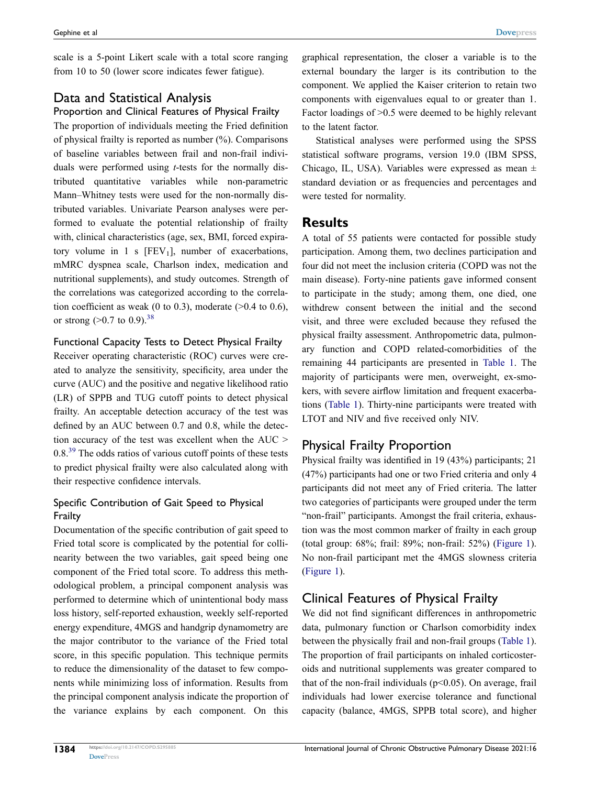scale is a 5-point Likert scale with a total score ranging from 10 to 50 (lower score indicates fewer fatigue).

## Data and Statistical Analysis

## Proportion and Clinical Features of Physical Frailty

The proportion of individuals meeting the Fried definition of physical frailty is reported as number (%). Comparisons of baseline variables between frail and non-frail individuals were performed using *t*-tests for the normally distributed quantitative variables while non-parametric Mann–Whitney tests were used for the non-normally distributed variables. Univariate Pearson analyses were performed to evaluate the potential relationship of frailty with, clinical characteristics (age, sex, BMI, forced expiratory volume in 1 s  $[FEV<sub>1</sub>]$ , number of exacerbations, mMRC dyspnea scale, Charlson index, medication and nutritional supplements), and study outcomes. Strength of the correlations was categorized according to the correlation coefficient as weak (0 to 0.3), moderate  $(>0.4$  to 0.6), or strong  $(>0.7 \text{ to } 0.9)$ .<sup>38</sup>

## Functional Capacity Tests to Detect Physical Frailty

Receiver operating characteristic (ROC) curves were created to analyze the sensitivity, specificity, area under the curve (AUC) and the positive and negative likelihood ratio (LR) of SPPB and TUG cutoff points to detect physical frailty. An acceptable detection accuracy of the test was defined by an AUC between 0.7 and 0.8, while the detection accuracy of the test was excellent when the AUC > 0.8<sup>39</sup> The odds ratios of various cutoff points of these tests to predict physical frailty were also calculated along with their respective confidence intervals.

## Specific Contribution of Gait Speed to Physical Frailty

Documentation of the specific contribution of gait speed to Fried total score is complicated by the potential for collinearity between the two variables, gait speed being one component of the Fried total score. To address this methodological problem, a principal component analysis was performed to determine which of unintentional body mass loss history, self-reported exhaustion, weekly self-reported energy expenditure, 4MGS and handgrip dynamometry are the major contributor to the variance of the Fried total score, in this specific population. This technique permits to reduce the dimensionality of the dataset to few components while minimizing loss of information. Results from the principal component analysis indicate the proportion of the variance explains by each component. On this graphical representation, the closer a variable is to the external boundary the larger is its contribution to the component. We applied the Kaiser criterion to retain two components with eigenvalues equal to or greater than 1. Factor loadings of >0.5 were deemed to be highly relevant to the latent factor.

Statistical analyses were performed using the SPSS statistical software programs, version 19.0 (IBM SPSS, Chicago, IL, USA). Variables were expressed as mean ± standard deviation or as frequencies and percentages and were tested for normality.

## **Results**

A total of 55 patients were contacted for possible study participation. Among them, two declines participation and four did not meet the inclusion criteria (COPD was not the main disease). Forty-nine patients gave informed consent to participate in the study; among them, one died, one withdrew consent between the initial and the second visit, and three were excluded because they refused the physical frailty assessment. Anthropometric data, pulmonary function and COPD related-comorbidities of the remaining 44 participants are presented in Table 1. The majority of participants were men, overweight, ex-smokers, with severe airflow limitation and frequent exacerbations (Table 1). Thirty-nine participants were treated with LTOT and NIV and five received only NIV.

## Physical Frailty Proportion

Physical frailty was identified in 19 (43%) participants; 21 (47%) participants had one or two Fried criteria and only 4 participants did not meet any of Fried criteria. The latter two categories of participants were grouped under the term "non-frail" participants. Amongst the frail criteria, exhaustion was the most common marker of frailty in each group (total group: 68%; frail: 89%; non-frail: 52%) (Figure 1). No non-frail participant met the 4MGS slowness criteria (Figure 1).

## Clinical Features of Physical Frailty

We did not find significant differences in anthropometric data, pulmonary function or Charlson comorbidity index between the physically frail and non-frail groups (Table 1). The proportion of frail participants on inhaled corticosteroids and nutritional supplements was greater compared to that of the non-frail individuals ( $p<0.05$ ). On average, frail individuals had lower exercise tolerance and functional capacity (balance, 4MGS, SPPB total score), and higher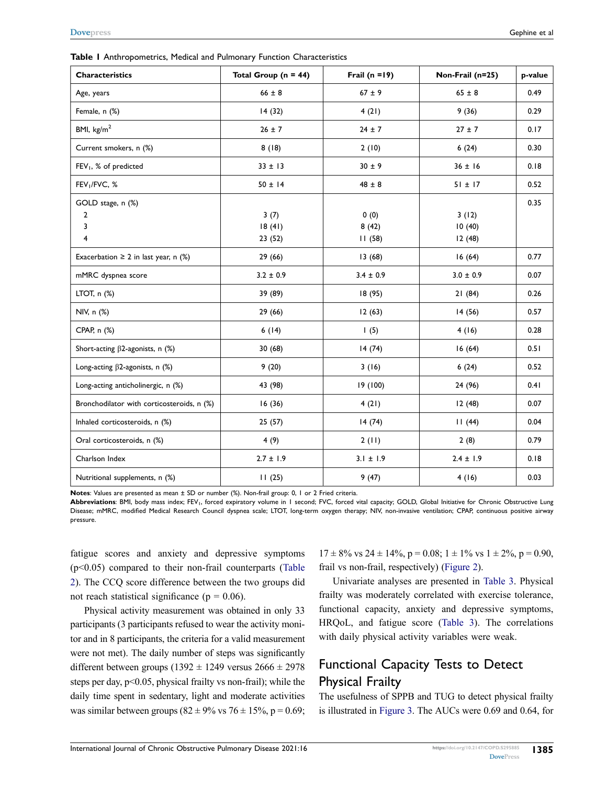**Table 1** Anthropometrics, Medical and Pulmonary Function Characteristics

| <b>Characteristics</b>                     | Total Group ( $n = 44$ ) | Frail $(n = 19)$ | Non-Frail (n=25) | p-value |
|--------------------------------------------|--------------------------|------------------|------------------|---------|
| Age, years                                 | $66 \pm 8$               | $67 \pm 9$       | $65 \pm 8$       | 0.49    |
| Female, n (%)                              | 14(32)                   | 4(21)            | 9(36)            | 0.29    |
| BMI, $\text{kg/m}^2$                       | $26 \pm 7$               | $24 \pm 7$       | $27 \pm 7$       | 0.17    |
| Current smokers, n (%)                     | 8(18)                    | 2(10)            | 6(24)            | 0.30    |
| FEV <sub>1</sub> , % of predicted          | $33 \pm 13$              | $30 \pm 9$       | $36 \pm 16$      | 0.18    |
| FEV <sub>1</sub> /FVC, %                   | $50 \pm 14$              | $48 \pm 8$       | $51 \pm 17$      | 0.52    |
| GOLD stage, n (%)                          |                          |                  |                  | 0.35    |
| $\overline{2}$                             | 3(7)                     | 0(0)             | 3(12)            |         |
| 3                                          | 18(41)                   | 8(42)            | 10(40)           |         |
| $\overline{4}$                             | 23(52)                   | 11(58)           | 12(48)           |         |
| Exacerbation $\geq 2$ in last year, n (%)  | 29 (66)                  | 13(68)           | 16(64)           | 0.77    |
| mMRC dyspnea score                         | $3.2 \pm 0.9$            | $3.4 \pm 0.9$    | $3.0 \pm 0.9$    | 0.07    |
| LTOT, $n$ $%$                              | 39 (89)                  | 18(95)           | 21(84)           | 0.26    |
| NIV, n (%)                                 | 29(66)                   | 12(63)           | 14(56)           | 0.57    |
| CPAP, n (%)                                | 6(14)                    | 1(5)             | 4(16)            | 0.28    |
| Short-acting $\beta$ 2-agonists, n (%)     | 30(68)                   | 14(74)           | 16(64)           | 0.51    |
| Long-acting $\beta$ 2-agonists, n (%)      | 9(20)                    | 3(16)            | 6(24)            | 0.52    |
| Long-acting anticholinergic, n (%)         | 43 (98)                  | 19 (100)         | 24 (96)          | 0.41    |
| Bronchodilator with corticosteroids, n (%) | 16(36)                   | 4(21)            | 12(48)           | 0.07    |
| Inhaled corticosteroids, n (%)             | 25(57)                   | 14(74)           | 11(44)           | 0.04    |
| Oral corticosteroids, n (%)                | 4(9)                     | 2(11)            | 2(8)             | 0.79    |
| Charlson Index                             | $2.7 \pm 1.9$            | $3.1 \pm 1.9$    | $2.4 \pm 1.9$    | 0.18    |
| Nutritional supplements, n (%)             | 11(25)                   | 9(47)            | 4(16)            | 0.03    |

**Notes**: Values are presented as mean ± SD or number (%). Non-frail group: 0, 1 or 2 Fried criteria.

Abbreviations: BMI, body mass index; FEV<sub>1</sub>, forced expiratory volume in 1 second; FVC, forced vital capacity; GOLD, Global Initiative for Chronic Obstructive Lung Disease; mMRC, modified Medical Research Council dyspnea scale; LTOT, long-term oxygen therapy; NIV, non-invasive ventilation; CPAP, continuous positive airway pressure.

fatigue scores and anxiety and depressive symptoms (p<0.05) compared to their non-frail counterparts (Table 2). The CCQ score difference between the two groups did not reach statistical significance ( $p = 0.06$ ).

Physical activity measurement was obtained in only 33 participants (3 participants refused to wear the activity monitor and in 8 participants, the criteria for a valid measurement were not met). The daily number of steps was significantly different between groups (1392  $\pm$  1249 versus 2666  $\pm$  2978 steps per day, p<0.05, physical frailty vs non-frail); while the daily time spent in sedentary, light and moderate activities was similar between groups ( $82 \pm 9\%$  vs  $76 \pm 15\%$ , p = 0.69;

 $17 \pm 8\%$  vs  $24 \pm 14\%$ ,  $p = 0.08$ ;  $1 \pm 1\%$  vs  $1 \pm 2\%$ ,  $p = 0.90$ , frail vs non-frail, respectively) (Figure 2).

Univariate analyses are presented in Table 3. Physical frailty was moderately correlated with exercise tolerance, functional capacity, anxiety and depressive symptoms, HRQoL, and fatigue score (Table 3). The correlations with daily physical activity variables were weak.

## Functional Capacity Tests to Detect Physical Frailty

The usefulness of SPPB and TUG to detect physical frailty is illustrated in Figure 3. The AUCs were 0.69 and 0.64, for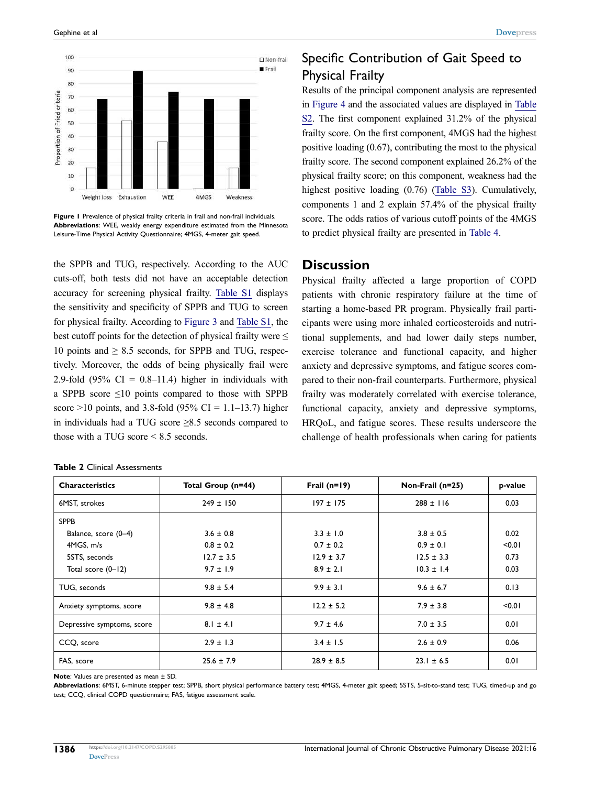

Figure 1 Prevalence of physical frailty criteria in frail and non-frail individuals. **Abbreviations**: WEE, weakly energy expenditure estimated from the Minnesota Leisure-Time Physical Activity Questionnaire; 4MGS, 4-meter gait speed.

the SPPB and TUG, respectively. According to the AUC cuts-off, both tests did not have an acceptable detection accuracy for screening physical frailty. [Table S1](https://www.dovepress.com/get_supplementary_file.php?f=295885.docx) displays the sensitivity and specificity of SPPB and TUG to screen for physical frailty. According to Figure 3 and [Table S1,](https://www.dovepress.com/get_supplementary_file.php?f=295885.docx) the best cutoff points for the detection of physical frailty were  $\leq$ 10 points and  $\geq$  8.5 seconds, for SPPB and TUG, respectively. Moreover, the odds of being physically frail were 2.9-fold  $(95\% \text{ CI} = 0.8-11.4)$  higher in individuals with a SPPB score  $\leq 10$  points compared to those with SPPB score >10 points, and 3.8-fold (95% CI = 1.1–13.7) higher in individuals had a TUG score ≥8.5 seconds compared to those with a TUG score < 8.5 seconds.

## Specific Contribution of Gait Speed to Physical Frailty

Results of the principal component analysis are represented in Figure 4 and the associated values are displayed in [Table](https://www.dovepress.com/get_supplementary_file.php?f=295885.docx) [S2](https://www.dovepress.com/get_supplementary_file.php?f=295885.docx). The first component explained 31.2% of the physical frailty score. On the first component, 4MGS had the highest positive loading (0.67), contributing the most to the physical frailty score. The second component explained 26.2% of the physical frailty score; on this component, weakness had the highest positive loading (0.76) [\(Table S3\)](https://www.dovepress.com/get_supplementary_file.php?f=295885.docx). Cumulatively, components 1 and 2 explain 57.4% of the physical frailty score. The odds ratios of various cutoff points of the 4MGS to predict physical frailty are presented in Table 4.

## **Discussion**

Physical frailty affected a large proportion of COPD patients with chronic respiratory failure at the time of starting a home-based PR program. Physically frail participants were using more inhaled corticosteroids and nutritional supplements, and had lower daily steps number, exercise tolerance and functional capacity, and higher anxiety and depressive symptoms, and fatigue scores compared to their non-frail counterparts. Furthermore, physical frailty was moderately correlated with exercise tolerance, functional capacity, anxiety and depressive symptoms, HRQoL, and fatigue scores. These results underscore the challenge of health professionals when caring for patients

| <b>Characteristics</b>     | Total Group (n=44) | Frail $(n=19)$ | Non-Frail (n=25) | p-value |
|----------------------------|--------------------|----------------|------------------|---------|
| 6MST, strokes              | $249 \pm 150$      | $197 \pm 175$  | $288 \pm 116$    | 0.03    |
| <b>SPPB</b>                |                    |                |                  |         |
| Balance, score (0-4)       | $3.6 \pm 0.8$      | $3.3 \pm 1.0$  | $3.8 \pm 0.5$    | 0.02    |
| 4MGS, m/s                  | $0.8 \pm 0.2$      | $0.7 \pm 0.2$  | $0.9 \pm 0.1$    | < 0.01  |
| 5STS, seconds              | $12.7 \pm 3.5$     | $12.9 \pm 3.7$ | $12.5 \pm 3.3$   | 0.73    |
| Total score (0-12)         | $9.7 \pm 1.9$      | $8.9 \pm 2.1$  | $10.3 \pm 1.4$   | 0.03    |
| TUG, seconds               | $9.8 \pm 5.4$      | $9.9 \pm 3.1$  | $9.6 \pm 6.7$    | 0.13    |
| Anxiety symptoms, score    | $9.8 \pm 4.8$      | $12.2 \pm 5.2$ | $7.9 \pm 3.8$    | < 0.01  |
| Depressive symptoms, score | $8.1 \pm 4.1$      | $9.7 \pm 4.6$  | $7.0 \pm 3.5$    | 0.01    |
| CCQ, score                 | $2.9 \pm 1.3$      | $3.4 \pm 1.5$  | $2.6 \pm 0.9$    | 0.06    |
| FAS, score                 | $25.6 \pm 7.9$     | $28.9 \pm 8.5$ | $23.1 \pm 6.5$   | 0.01    |

#### **Table 2** Clinical Assessments

**Note**: Values are presented as mean ± SD.

**Abbreviations**: 6MST, 6-minute stepper test; SPPB, short physical performance battery test; 4MGS, 4-meter gait speed; 5STS, 5-sit-to-stand test; TUG, timed-up and go test; CCQ, clinical COPD questionnaire; FAS, fatigue assessment scale.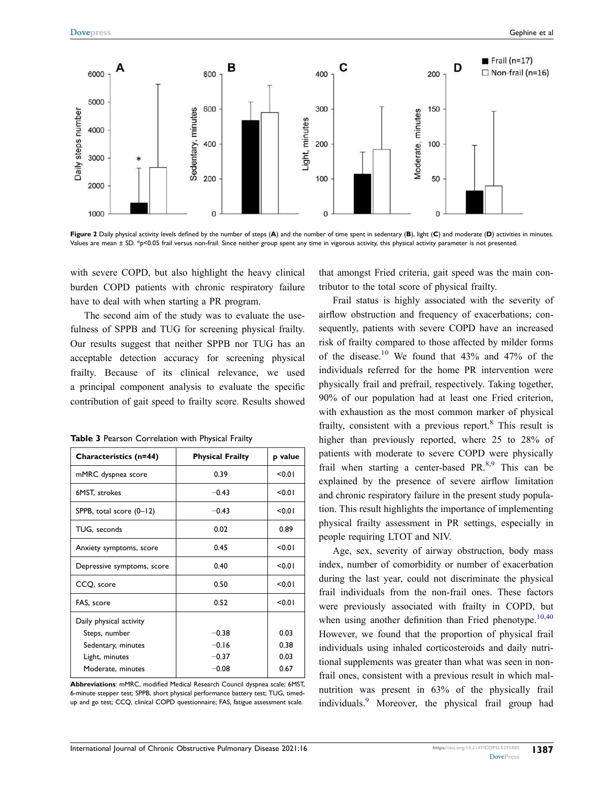

**Figure 2** Daily physical activity levels defined by the number of steps (**A**) and the number of time spent in sedentary (**B**), light (**C**) and moderate (**D**) activities in minutes. Values are mean ± SD. \*p<0.05 frail versus non-frail. Since neither group spent any time in vigorous activity, this physical activity parameter is not presented.

with severe COPD, but also highlight the heavy clinical burden COPD patients with chronic respiratory failure have to deal with when starting a PR program.

The second aim of the study was to evaluate the usefulness of SPPB and TUG for screening physical frailty. Our results suggest that neither SPPB nor TUG has an acceptable detection accuracy for screening physical frailty. Because of its clinical relevance, we used a principal component analysis to evaluate the specific contribution of gait speed to frailty score. Results showed

| Characteristics (n=44)                                         | <b>Physical Frailty</b> | p value      |
|----------------------------------------------------------------|-------------------------|--------------|
| mMRC dyspnea score                                             | 0.39                    | < 0.01       |
| 6MST, strokes                                                  | $-0.43$                 | < 0.01       |
| SPPB, total score (0-12)                                       | $-0.43$                 | < 0.01       |
| TUG, seconds                                                   | 0.02                    | 0.89         |
| Anxiety symptoms, score                                        | 0.45                    | < 0.01       |
| Depressive symptoms, score                                     | 0.40                    | < 0.01       |
| CCQ, score                                                     | 0.50                    | < 0.01       |
| FAS, score                                                     | 0.52                    | < 0.01       |
| Daily physical activity<br>Steps, number<br>Sedentary, minutes | $-0.38$<br>$-0.16$      | 0.03<br>0.38 |
| Light, minutes<br>Moderate, minutes                            | $-0.37$<br>$-0.08$      | 0.03<br>0.67 |

| Table 3 Pearson Correlation with Physical Frailty |  |  |  |  |  |  |  |
|---------------------------------------------------|--|--|--|--|--|--|--|
|---------------------------------------------------|--|--|--|--|--|--|--|

**Abbreviations**: mMRC, modified Medical Research Council dyspnea scale; 6MST, 6-minute stepper test; SPPB, short physical performance battery test; TUG, timedup and go test; CCQ, clinical COPD questionnaire; FAS, fatigue assessment scale.

that amongst Fried criteria, gait speed was the main contributor to the total score of physical frailty.

Frail status is highly associated with the severity of airflow obstruction and frequency of exacerbations; consequently, patients with severe COPD have an increased risk of frailty compared to those affected by milder forms of the disease.<sup>10</sup> We found that  $43\%$  and  $47\%$  of the individuals referred for the home PR intervention were physically frail and prefrail, respectively. Taking together, 90% of our population had at least one Fried criterion, with exhaustion as the most common marker of physical frailty, consistent with a previous report.<sup>8</sup> This result is higher than previously reported, where 25 to 28% of patients with moderate to severe COPD were physically frail when starting a center-based PR $^{8,9}$  This can be explained by the presence of severe airflow limitation and chronic respiratory failure in the present study population. This result highlights the importance of implementing physical frailty assessment in PR settings, especially in people requiring LTOT and NIV.

Age, sex, severity of airway obstruction, body mass index, number of comorbidity or number of exacerbation during the last year, could not discriminate the physical frail individuals from the non-frail ones. These factors were previously associated with frailty in COPD, but when using another definition than Fried phenotype.<sup>10,40</sup> However, we found that the proportion of physical frail individuals using inhaled corticosteroids and daily nutritional supplements was greater than what was seen in nonfrail ones, consistent with a previous result in which malnutrition was present in 63% of the physically frail individuals.<sup>9</sup> Moreover, the physical frail group had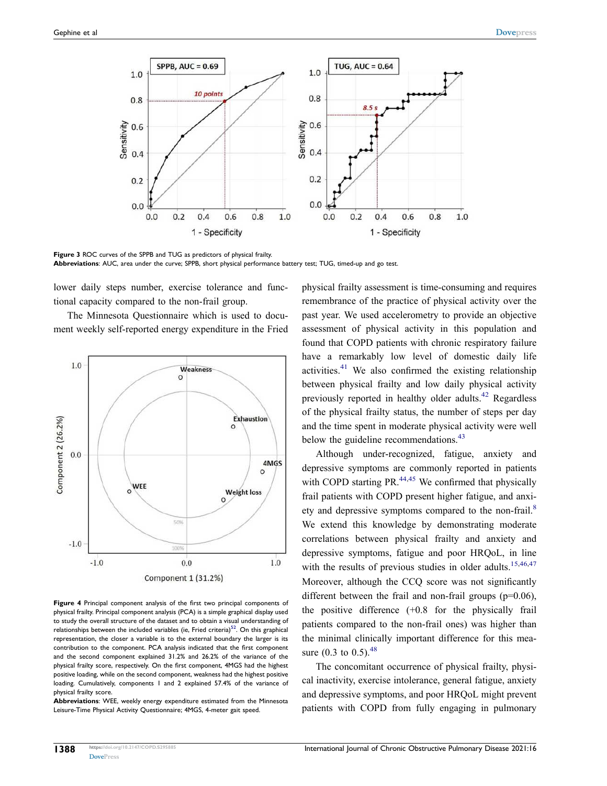

**Figure 3** ROC curves of the SPPB and TUG as predictors of physical frailty. **Abbreviations**: AUC, area under the curve; SPPB, short physical performance battery test; TUG, timed-up and go test.

lower daily steps number, exercise tolerance and functional capacity compared to the non-frail group.

The Minnesota Questionnaire which is used to document weekly self-reported energy expenditure in the Fried



**Figure 4** Principal component analysis of the first two principal components of physical frailty. Principal component analysis (PCA) is a simple graphical display used to study the overall structure of the dataset and to obtain a visual understanding of relationships between the included variables (ie, Fried criteria)<sup>52</sup>. On this graphical representation, the closer a variable is to the external boundary the larger is its contribution to the component. PCA analysis indicated that the first component and the second component explained 31.2% and 26.2% of the variance of the physical frailty score, respectively. On the first component, 4MGS had the highest positive loading, while on the second component, weakness had the highest positive loading. Cumulatively, components 1 and 2 explained 57.4% of the variance of physical frailty score.

**Abbreviations**: WEE, weekly energy expenditure estimated from the Minnesota Leisure-Time Physical Activity Questionnaire; 4MGS, 4-meter gait speed.

physical frailty assessment is time-consuming and requires remembrance of the practice of physical activity over the past year. We used accelerometry to provide an objective assessment of physical activity in this population and found that COPD patients with chronic respiratory failure have a remarkably low level of domestic daily life activities. $41$  We also confirmed the existing relationship between physical frailty and low daily physical activity previously reported in healthy older adults.42 Regardless of the physical frailty status, the number of steps per day and the time spent in moderate physical activity were well below the guideline recommendations.<sup>43</sup>

Although under-recognized, fatigue, anxiety and depressive symptoms are commonly reported in patients with COPD starting PR $^{44,45}$  We confirmed that physically frail patients with COPD present higher fatigue, and anxiety and depressive symptoms compared to the non-frail.<sup>8</sup> We extend this knowledge by demonstrating moderate correlations between physical frailty and anxiety and depressive symptoms, fatigue and poor HRQoL, in line with the results of previous studies in older adults.<sup>15,46,47</sup> Moreover, although the CCQ score was not significantly different between the frail and non-frail groups  $(p=0.06)$ , the positive difference (+0.8 for the physically frail patients compared to the non-frail ones) was higher than the minimal clinically important difference for this measure (0.3 to 0.5).  $48$ 

The concomitant occurrence of physical frailty, physical inactivity, exercise intolerance, general fatigue, anxiety and depressive symptoms, and poor HRQoL might prevent patients with COPD from fully engaging in pulmonary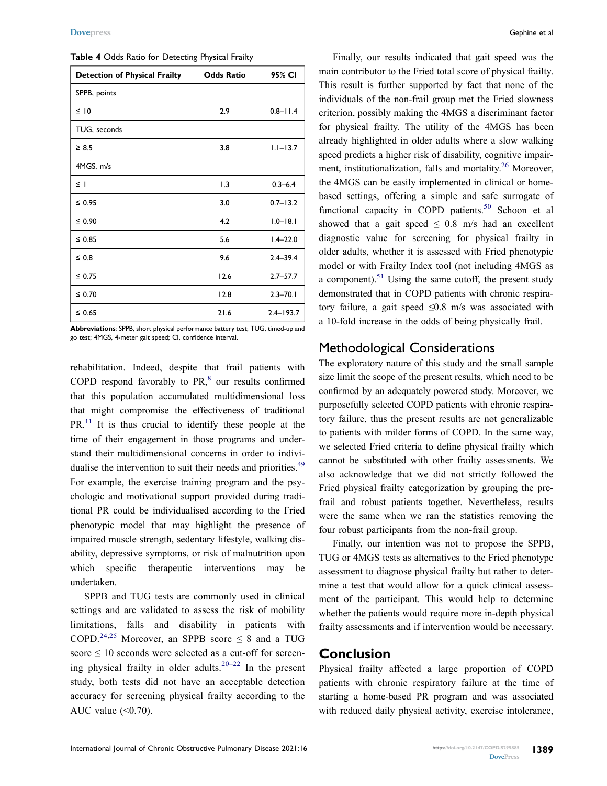| <b>Detection of Physical Frailty</b> | <b>Odds Ratio</b> | 95% CI        |
|--------------------------------------|-------------------|---------------|
| SPPB, points                         |                   |               |
| $\leq$ 10                            | 2.9               | $0.8 - 11.4$  |
| TUG, seconds                         |                   |               |
| $\geq 8.5$                           | 3.8               | $1.1 - 13.7$  |
| 4MGS, m/s                            |                   |               |
| $\leq$ 1                             | 1.3               | $0.3 - 6.4$   |
| $\leq 0.95$                          | 3.0               | $0.7 - 13.2$  |
| ≤ 0.90                               | 4.2               | $1.0 - 18.1$  |
| $\leq 0.85$                          | 5.6               | $1.4 - 22.0$  |
| $\leq 0.8$                           | 9.6               | $2.4 - 39.4$  |
| $\leq 0.75$                          | 12.6              | $2.7 - 57.7$  |
| $\leq 0.70$                          | 12.8              | $2.3 - 70.1$  |
| $\leq 0.65$                          | 21.6              | $2.4 - 193.7$ |

**Table 4** Odds Ratio for Detecting Physical Frailty

**Abbreviations**: SPPB, short physical performance battery test; TUG, timed-up and go test; 4MGS, 4-meter gait speed; CI, confidence interval.

rehabilitation. Indeed, despite that frail patients with COPD respond favorably to  $PR<sub>s</sub><sup>8</sup>$  our results confirmed that this population accumulated multidimensional loss that might compromise the effectiveness of traditional PR.<sup>11</sup> It is thus crucial to identify these people at the time of their engagement in those programs and understand their multidimensional concerns in order to individualise the intervention to suit their needs and priorities.<sup>49</sup> For example, the exercise training program and the psychologic and motivational support provided during traditional PR could be individualised according to the Fried phenotypic model that may highlight the presence of impaired muscle strength, sedentary lifestyle, walking disability, depressive symptoms, or risk of malnutrition upon which specific therapeutic interventions may be undertaken.

SPPB and TUG tests are commonly used in clinical settings and are validated to assess the risk of mobility limitations, falls and disability in patients with COPD.<sup>24,25</sup> Moreover, an SPPB score  $\leq$  8 and a TUG score  $\leq 10$  seconds were selected as a cut-off for screening physical frailty in older adults.<sup>20–22</sup> In the present study, both tests did not have an acceptable detection accuracy for screening physical frailty according to the AUC value  $( $0.70$ ).$ 

Finally, our results indicated that gait speed was the main contributor to the Fried total score of physical frailty. This result is further supported by fact that none of the individuals of the non-frail group met the Fried slowness criterion, possibly making the 4MGS a discriminant factor for physical frailty. The utility of the 4MGS has been already highlighted in older adults where a slow walking speed predicts a higher risk of disability, cognitive impairment, institutionalization, falls and mortality. 26 Moreover, the 4MGS can be easily implemented in clinical or homebased settings, offering a simple and safe surrogate of functional capacity in COPD patients.<sup>50</sup> Schoon et al showed that a gait speed  $\leq$  0.8 m/s had an excellent diagnostic value for screening for physical frailty in older adults, whether it is assessed with Fried phenotypic model or with Frailty Index tool (not including 4MGS as a component).<sup>51</sup> Using the same cutoff, the present study demonstrated that in COPD patients with chronic respiratory failure, a gait speed  $\leq 0.8$  m/s was associated with a 10-fold increase in the odds of being physically frail.

## Methodological Considerations

The exploratory nature of this study and the small sample size limit the scope of the present results, which need to be confirmed by an adequately powered study. Moreover, we purposefully selected COPD patients with chronic respiratory failure, thus the present results are not generalizable to patients with milder forms of COPD. In the same way, we selected Fried criteria to define physical frailty which cannot be substituted with other frailty assessments. We also acknowledge that we did not strictly followed the Fried physical frailty categorization by grouping the prefrail and robust patients together. Nevertheless, results were the same when we ran the statistics removing the four robust participants from the non-frail group.

Finally, our intention was not to propose the SPPB, TUG or 4MGS tests as alternatives to the Fried phenotype assessment to diagnose physical frailty but rather to determine a test that would allow for a quick clinical assessment of the participant. This would help to determine whether the patients would require more in-depth physical frailty assessments and if intervention would be necessary.

## **Conclusion**

Physical frailty affected a large proportion of COPD patients with chronic respiratory failure at the time of starting a home-based PR program and was associated with reduced daily physical activity, exercise intolerance,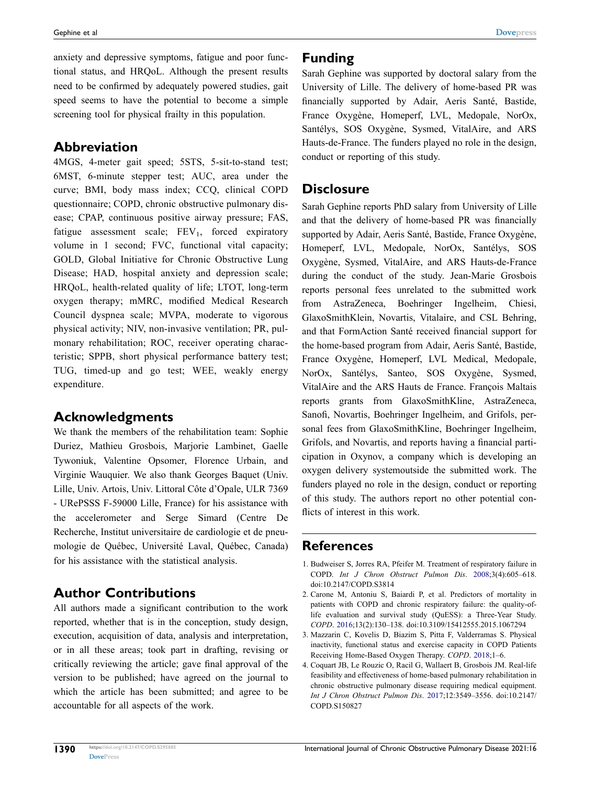anxiety and depressive symptoms, fatigue and poor functional status, and HRQoL. Although the present results need to be confirmed by adequately powered studies, gait speed seems to have the potential to become a simple screening tool for physical frailty in this population.

## **Abbreviation**

4MGS, 4-meter gait speed; 5STS, 5-sit-to-stand test; 6MST, 6-minute stepper test; AUC, area under the curve; BMI, body mass index; CCQ, clinical COPD questionnaire; COPD, chronic obstructive pulmonary disease; CPAP, continuous positive airway pressure; FAS, fatigue assessment scale;  $FEV<sub>1</sub>$ , forced expiratory volume in 1 second; FVC, functional vital capacity; GOLD, Global Initiative for Chronic Obstructive Lung Disease; HAD, hospital anxiety and depression scale; HRQoL, health-related quality of life; LTOT, long-term oxygen therapy; mMRC, modified Medical Research Council dyspnea scale; MVPA, moderate to vigorous physical activity; NIV, non-invasive ventilation; PR, pulmonary rehabilitation; ROC, receiver operating characteristic; SPPB, short physical performance battery test; TUG, timed-up and go test; WEE, weakly energy expenditure.

## **Acknowledgments**

We thank the members of the rehabilitation team: Sophie Duriez, Mathieu Grosbois, Marjorie Lambinet, Gaelle Tywoniuk, Valentine Opsomer, Florence Urbain, and Virginie Wauquier. We also thank Georges Baquet (Univ. Lille, Univ. Artois, Univ. Littoral Côte d'Opale, ULR 7369 - URePSSS F-59000 Lille, France) for his assistance with the accelerometer and Serge Simard (Centre De Recherche, Institut universitaire de cardiologie et de pneumologie de Québec, Université Laval, Québec, Canada) for his assistance with the statistical analysis.

## **Author Contributions**

All authors made a significant contribution to the work reported, whether that is in the conception, study design, execution, acquisition of data, analysis and interpretation, or in all these areas; took part in drafting, revising or critically reviewing the article; gave final approval of the version to be published; have agreed on the journal to which the article has been submitted; and agree to be accountable for all aspects of the work.

## **Funding**

Sarah Gephine was supported by doctoral salary from the University of Lille. The delivery of home-based PR was financially supported by Adair, Aeris Santé, Bastide, France Oxygène, Homeperf, LVL, Medopale, NorOx, Santélys, SOS Oxygène, Sysmed, VitalAire, and ARS Hauts-de-France. The funders played no role in the design, conduct or reporting of this study.

## **Disclosure**

Sarah Gephine reports PhD salary from University of Lille and that the delivery of home-based PR was financially supported by Adair, Aeris Santé, Bastide, France Oxygène, Homeperf, LVL, Medopale, NorOx, Santélys, SOS Oxygène, Sysmed, VitalAire, and ARS Hauts-de-France during the conduct of the study. Jean-Marie Grosbois reports personal fees unrelated to the submitted work from AstraZeneca, Boehringer Ingelheim, Chiesi, GlaxoSmithKlein, Novartis, Vitalaire, and CSL Behring, and that FormAction Santé received financial support for the home-based program from Adair, Aeris Santé, Bastide, France Oxygène, Homeperf, LVL Medical, Medopale, NorOx, Santélys, Santeo, SOS Oxygène, Sysmed, VitalAire and the ARS Hauts de France. François Maltais reports grants from GlaxoSmithKline, AstraZeneca, Sanofi, Novartis, Boehringer Ingelheim, and Grifols, personal fees from GlaxoSmithKline, Boehringer Ingelheim, Grifols, and Novartis, and reports having a financial participation in Oxynov, a company which is developing an oxygen delivery systemoutside the submitted work. The funders played no role in the design, conduct or reporting of this study. The authors report no other potential conflicts of interest in this work.

## **References**

- 1. Budweiser S, Jorres RA, Pfeifer M. Treatment of respiratory failure in COPD. *Int J Chron Obstruct Pulmon Dis*. 2008;3(4):605–618. doi:[10.2147/COPD.S3814](https://doi.org/10.2147/COPD.S3814)
- 2. Carone M, Antoniu S, Baiardi P, et al. Predictors of mortality in patients with COPD and chronic respiratory failure: the quality-oflife evaluation and survival study (QuESS): a Three-Year Study. *COPD*. 2016;13(2):130–138. doi:[10.3109/15412555.2015.1067294](https://doi.org/10.3109/15412555.2015.1067294)
- 3. Mazzarin C, Kovelis D, Biazim S, Pitta F, Valderramas S. Physical inactivity, functional status and exercise capacity in COPD Patients Receiving Home-Based Oxygen Therapy. *COPD*. 2018;1–6.
- 4. Coquart JB, Le Rouzic O, Racil G, Wallaert B, Grosbois JM. Real-life feasibility and effectiveness of home-based pulmonary rehabilitation in chronic obstructive pulmonary disease requiring medical equipment. *Int J Chron Obstruct Pulmon Dis*. 2017;12:3549–3556. doi:[10.2147/](https://doi.org/10.2147/COPD.S150827) [COPD.S150827](https://doi.org/10.2147/COPD.S150827)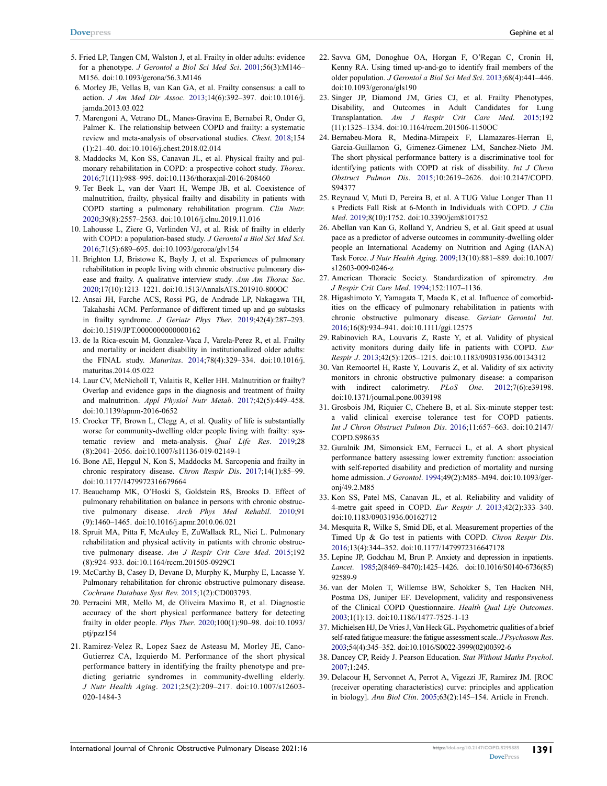- 5. Fried LP, Tangen CM, Walston J, et al. Frailty in older adults: evidence for a phenotype. *J Gerontol a Biol Sci Med Sci*. 2001;56(3):M146– M156. doi:[10.1093/gerona/56.3.M146](https://doi.org/10.1093/gerona/56.3.M146)
- 6. Morley JE, Vellas B, van Kan GA, et al. Frailty consensus: a call to action. *J Am Med Dir Assoc*. 2013;14(6):392–397. doi:[10.1016/j.](https://doi.org/10.1016/j.jamda.2013.03.022)  [jamda.2013.03.022](https://doi.org/10.1016/j.jamda.2013.03.022)
- 7. Marengoni A, Vetrano DL, Manes-Gravina E, Bernabei R, Onder G, Palmer K. The relationship between COPD and frailty: a systematic review and meta-analysis of observational studies. *Chest*. 2018;154 (1):21–40. doi:[10.1016/j.chest.2018.02.014](https://doi.org/10.1016/j.chest.2018.02.014)
- 8. Maddocks M, Kon SS, Canavan JL, et al. Physical frailty and pulmonary rehabilitation in COPD: a prospective cohort study. *Thorax*. 2016;71(11):988–995. doi:[10.1136/thoraxjnl-2016-208460](https://doi.org/10.1136/thoraxjnl-2016-208460)
- 9. Ter Beek L, van der Vaart H, Wempe JB, et al. Coexistence of malnutrition, frailty, physical frailty and disability in patients with COPD starting a pulmonary rehabilitation program. *Clin Nutr*. 2020;39(8):2557–2563. doi:[10.1016/j.clnu.2019.11.016](https://doi.org/10.1016/j.clnu.2019.11.016)
- 10. Lahousse L, Ziere G, Verlinden VJ, et al. Risk of frailty in elderly with COPD: a population-based study. *J Gerontol a Biol Sci Med Sci*. 2016;71(5):689–695. doi:[10.1093/gerona/glv154](https://doi.org/10.1093/gerona/glv154)
- 11. Brighton LJ, Bristowe K, Bayly J, et al. Experiences of pulmonary rehabilitation in people living with chronic obstructive pulmonary disease and frailty. A qualitative interview study. *Ann Am Thorac Soc*. 2020;17(10):1213–1221. doi:[10.1513/AnnalsATS.201910-800OC](https://doi.org/10.1513/AnnalsATS.201910-800OC)
- 12. Ansai JH, Farche ACS, Rossi PG, de Andrade LP, Nakagawa TH, Takahashi ACM. Performance of different timed up and go subtasks in frailty syndrome. *J Geriatr Phys Ther*. 2019;42(4):287–293. doi:[10.1519/JPT.0000000000000162](https://doi.org/10.1519/JPT.0000000000000162)
- 13. de la Rica-escuin M, Gonzalez-Vaca J, Varela-Perez R, et al. Frailty and mortality or incident disability in institutionalized older adults: the FINAL study. *Maturitas*. 2014;78(4):329–334. doi:[10.1016/j.](https://doi.org/10.1016/j.maturitas.2014.05.022)  [maturitas.2014.05.022](https://doi.org/10.1016/j.maturitas.2014.05.022)
- 14. Laur CV, McNicholl T, Valaitis R, Keller HH. Malnutrition or frailty? Overlap and evidence gaps in the diagnosis and treatment of frailty and malnutrition. *Appl Physiol Nutr Metab*. 2017;42(5):449–458. doi:[10.1139/apnm-2016-0652](https://doi.org/10.1139/apnm-2016-0652)
- 15. Crocker TF, Brown L, Clegg A, et al. Quality of life is substantially worse for community-dwelling older people living with frailty: systematic review and meta-analysis. *Qual Life Res*. 2019;28 (8):2041–2056. doi:[10.1007/s11136-019-02149-1](https://doi.org/10.1007/s11136-019-02149-1)
- 16. Bone AE, Hepgul N, Kon S, Maddocks M. Sarcopenia and frailty in chronic respiratory disease. *Chron Respir Dis*. 2017;14(1):85–99. doi:[10.1177/1479972316679664](https://doi.org/10.1177/1479972316679664)
- 17. Beauchamp MK, O'Hoski S, Goldstein RS, Brooks D. Effect of pulmonary rehabilitation on balance in persons with chronic obstructive pulmonary disease. *Arch Phys Med Rehabil*. 2010;91 (9):1460–1465. doi:[10.1016/j.apmr.2010.06.021](https://doi.org/10.1016/j.apmr.2010.06.021)
- 18. Spruit MA, Pitta F, McAuley E, ZuWallack RL, Nici L. Pulmonary rehabilitation and physical activity in patients with chronic obstructive pulmonary disease. *Am J Respir Crit Care Med*. 2015;192 (8):924–933. doi:[10.1164/rccm.201505-0929CI](https://doi.org/10.1164/rccm.201505-0929CI)
- 19. McCarthy B, Casey D, Devane D, Murphy K, Murphy E, Lacasse Y. Pulmonary rehabilitation for chronic obstructive pulmonary disease. *Cochrane Database Syst Rev*. 2015;1(2):CD003793.
- 20. Perracini MR, Mello M, de Oliveira Maximo R, et al. Diagnostic accuracy of the short physical performance battery for detecting frailty in older people. *Phys Ther*. 2020;100(1):90–98. doi:[10.1093/](https://doi.org/10.1093/ptj/pzz154)  [ptj/pzz154](https://doi.org/10.1093/ptj/pzz154)
- 21. Ramirez-Velez R, Lopez Saez de Asteasu M, Morley JE, Cano-Gutierrez CA, Izquierdo M. Performance of the short physical performance battery in identifying the frailty phenotype and predicting geriatric syndromes in community-dwelling elderly. *J Nutr Health Aging*. 2021;25(2):209–217. doi:[10.1007/s12603-](https://doi.org/10.1007/s12603-020-1484-3)  [020-1484-3](https://doi.org/10.1007/s12603-020-1484-3)
- 22. Savva GM, Donoghue OA, Horgan F, O'Regan C, Cronin H, Kenny RA. Using timed up-and-go to identify frail members of the older population. *J Gerontol a Biol Sci Med Sci*. 2013;68(4):441–446. doi:[10.1093/gerona/gls190](https://doi.org/10.1093/gerona/gls190)
- 23. Singer JP, Diamond JM, Gries CJ, et al. Frailty Phenotypes, Disability, and Outcomes in Adult Candidates for Lung Transplantation. *Am J Respir Crit Care Med*. 2015;192 (11):1325–1334. doi:[10.1164/rccm.201506-1150OC](https://doi.org/10.1164/rccm.201506-1150OC)
- 24. Bernabeu-Mora R, Medina-Mirapeix F, Llamazares-Herran E, Garcia-Guillamon G, Gimenez-Gimenez LM, Sanchez-Nieto JM. The short physical performance battery is a discriminative tool for identifying patients with COPD at risk of disability. *Int J Chron Obstruct Pulmon Dis*. 2015;10:2619–2626. doi:[10.2147/COPD.](https://doi.org/10.2147/COPD.S94377) [S94377](https://doi.org/10.2147/COPD.S94377)
- 25. Reynaud V, Muti D, Pereira B, et al. A TUG Value Longer Than 11 s Predicts Fall Risk at 6-Month in Individuals with COPD. *J Clin Med*. 2019;8(10):1752. doi:[10.3390/jcm8101752](https://doi.org/10.3390/jcm8101752)
- 26. Abellan van Kan G, Rolland Y, Andrieu S, et al. Gait speed at usual pace as a predictor of adverse outcomes in community-dwelling older people an International Academy on Nutrition and Aging (IANA) Task Force. *J Nutr Health Aging*. 2009;13(10):881–889. doi:[10.1007/](https://doi.org/10.1007/s12603-009-0246-z) [s12603-009-0246-z](https://doi.org/10.1007/s12603-009-0246-z)
- 27. American Thoracic Society. Standardization of spirometry. *Am J Respir Crit Care Med*. 1994;152:1107–1136.
- 28. Higashimoto Y, Yamagata T, Maeda K, et al. Influence of comorbidities on the efficacy of pulmonary rehabilitation in patients with chronic obstructive pulmonary disease. *Geriatr Gerontol Int*. 2016;16(8):934–941. doi:[10.1111/ggi.12575](https://doi.org/10.1111/ggi.12575)
- 29. Rabinovich RA, Louvaris Z, Raste Y, et al. Validity of physical activity monitors during daily life in patients with COPD. *Eur Respir J*. 2013;42(5):1205–1215. doi:[10.1183/09031936.00134312](https://doi.org/10.1183/09031936.00134312)
- 30. Van Remoortel H, Raste Y, Louvaris Z, et al. Validity of six activity monitors in chronic obstructive pulmonary disease: a comparison with indirect calorimetry. *PLoS One*. 2012;7(6):e39198. doi:[10.1371/journal.pone.0039198](https://doi.org/10.1371/journal.pone.0039198)
- 31. Grosbois JM, Riquier C, Chehere B, et al. Six-minute stepper test: a valid clinical exercise tolerance test for COPD patients. *Int J Chron Obstruct Pulmon Dis*. 2016;11:657–663. doi:[10.2147/](https://doi.org/10.2147/COPD.S98635) [COPD.S98635](https://doi.org/10.2147/COPD.S98635)
- 32. Guralnik JM, Simonsick EM, Ferrucci L, et al. A short physical performance battery assessing lower extremity function: association with self-reported disability and prediction of mortality and nursing home admission. *J Gerontol*. 1994;49(2):M85–M94. doi:[10.1093/ger](https://doi.org/10.1093/geronj/49.2.M85)[onj/49.2.M85](https://doi.org/10.1093/geronj/49.2.M85)
- 33. Kon SS, Patel MS, Canavan JL, et al. Reliability and validity of 4-metre gait speed in COPD. *Eur Respir J*. 2013;42(2):333–340. doi:[10.1183/09031936.00162712](https://doi.org/10.1183/09031936.00162712)
- 34. Mesquita R, Wilke S, Smid DE, et al. Measurement properties of the Timed Up & Go test in patients with COPD. *Chron Respir Dis*. 2016;13(4):344–352. doi:[10.1177/1479972316647178](https://doi.org/10.1177/1479972316647178)
- 35. Lepine JP, Godchau M, Brun P. Anxiety and depression in inpatients. *Lancet*. 1985;2(8469–8470):1425–1426. doi:[10.1016/S0140-6736\(85\)](https://doi.org/10.1016/S0140-6736(85)92589-9) [92589-9](https://doi.org/10.1016/S0140-6736(85)92589-9)
- 36. van der Molen T, Willemse BW, Schokker S, Ten Hacken NH, Postma DS, Juniper EF. Development, validity and responsiveness of the Clinical COPD Questionnaire. *Health Qual Life Outcomes*. 2003;1(1):13. doi:[10.1186/1477-7525-1-13](https://doi.org/10.1186/1477-7525-1-13)
- 37. Michielsen HJ, De Vries J, Van Heck GL. Psychometric qualities of a brief self-rated fatigue measure: the fatigue assessment scale. *J Psychosom Res*. 2003;54(4):345–352. doi:[10.1016/S0022-3999\(02\)00392-6](https://doi.org/10.1016/S0022-3999(02)00392-6)
- 38. Dancey CP, Reidy J. Pearson Education. *Stat Without Maths Psychol*. 2007;1:245.
- 39. Delacour H, Servonnet A, Perrot A, Vigezzi JF, Ramirez JM. [ROC (receiver operating characteristics) curve: principles and application in biology]. *Ann Biol Clin*. 2005;63(2):145–154. Article in French.